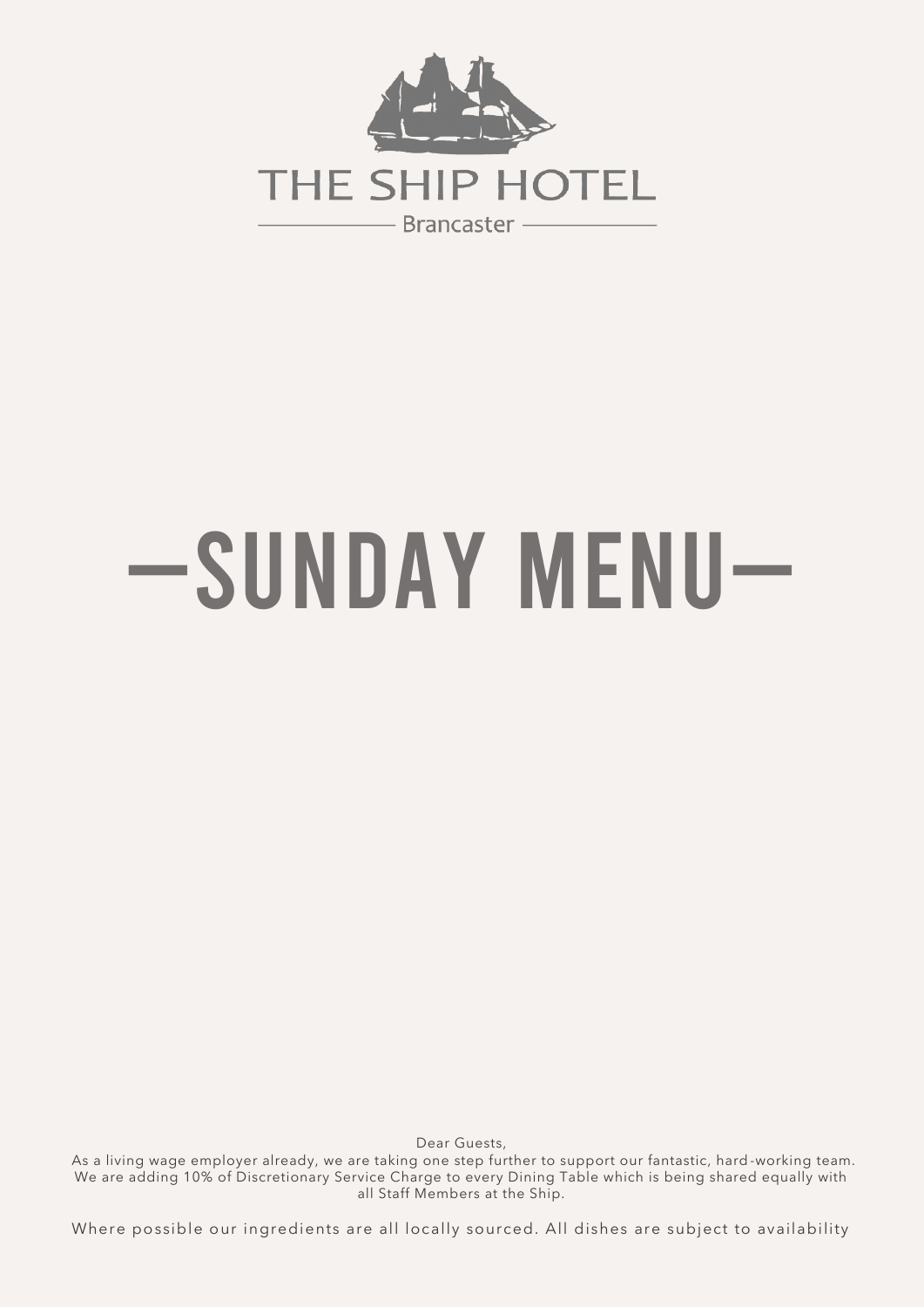

# —Sunday Menu—

Dear Guests,

 As a living wage employer already, we are taking one step further to support our fantastic, hard -working team. We are adding 10% of Discretionary Service Charge to every Dining Table which is being shared equally with all Staff Members at the Ship.

Where possible our ingredients are all locally sourced. All dishes are subject to availability